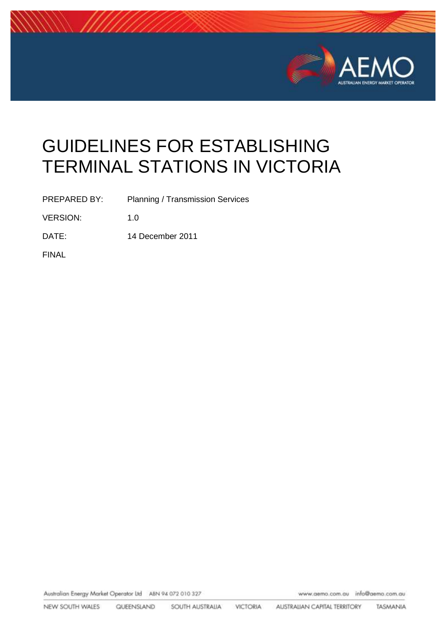

# GUIDELINES FOR ESTABLISHING TERMINAL STATIONS IN VICTORIA

PREPARED BY: Planning / Transmission Services

VERSION: 1.0

DATE: 14 December 2011

FINAL

Australian Energy Market Operator Ltd ABN 94 072 010 327

www.aemo.com.au info@aemo.com.au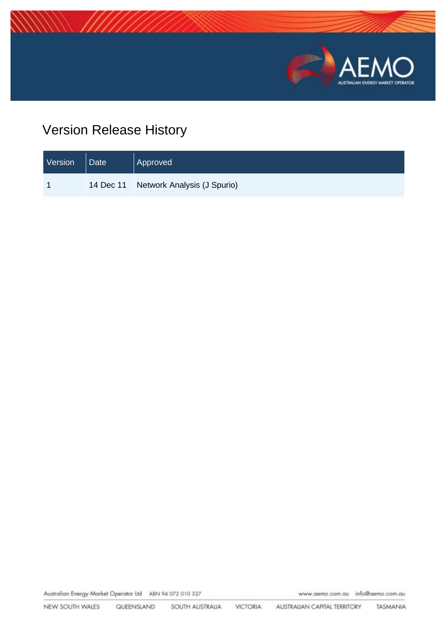

## Version Release History

| Version | <b>Date</b> | Approved                              |
|---------|-------------|---------------------------------------|
|         |             | 14 Dec 11 Network Analysis (J Spurio) |

Australian Energy Market Operator Ltd ABN 94 072 010 327

www.aemo.com.au info@aemo.com.au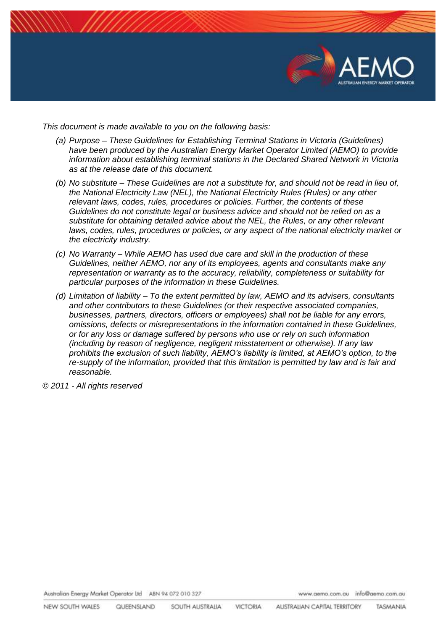

*This document is made available to you on the following basis:* 

- *(a) Purpose – These Guidelines for Establishing Terminal Stations in Victoria (Guidelines) have been produced by the Australian Energy Market Operator Limited (AEMO) to provide information about establishing terminal stations in the Declared Shared Network in Victoria as at the release date of this document.*
- *(b) No substitute – These Guidelines are not a substitute for, and should not be read in lieu of, the National Electricity Law (NEL), the National Electricity Rules (Rules) or any other relevant laws, codes, rules, procedures or policies. Further, the contents of these Guidelines do not constitute legal or business advice and should not be relied on as a substitute for obtaining detailed advice about the NEL, the Rules, or any other relevant*  laws, codes, rules, procedures or policies, or any aspect of the national electricity market or *the electricity industry.*
- *(c) No Warranty – While AEMO has used due care and skill in the production of these Guidelines, neither AEMO, nor any of its employees, agents and consultants make any representation or warranty as to the accuracy, reliability, completeness or suitability for particular purposes of the information in these Guidelines.*
- *(d) Limitation of liability – To the extent permitted by law, AEMO and its advisers, consultants and other contributors to these Guidelines (or their respective associated companies, businesses, partners, directors, officers or employees) shall not be liable for any errors, omissions, defects or misrepresentations in the information contained in these Guidelines, or for any loss or damage suffered by persons who use or rely on such information (including by reason of negligence, negligent misstatement or otherwise). If any law prohibits the exclusion of such liability, AEMO's liability is limited, at AEMO's option, to the*  re-supply of the information, provided that this limitation is permitted by law and is fair and *reasonable.*

*© 2011 - All rights reserved*

Australian Energy Market Operator Ltd ABN 94 072 010 327

www.aemo.com.au info@aemo.com.au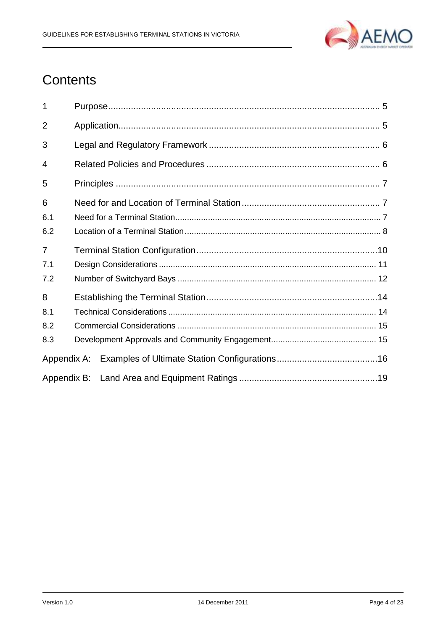

## **Contents**

| 1              |  |  |  |  |
|----------------|--|--|--|--|
| $\overline{2}$ |  |  |  |  |
| 3              |  |  |  |  |
| 4              |  |  |  |  |
| 5              |  |  |  |  |
| 6              |  |  |  |  |
| 6.1            |  |  |  |  |
| 6.2            |  |  |  |  |
| $\overline{7}$ |  |  |  |  |
| 7.1            |  |  |  |  |
| 7.2            |  |  |  |  |
| 8              |  |  |  |  |
| 8.1            |  |  |  |  |
| 8.2            |  |  |  |  |
| 8.3            |  |  |  |  |
| Appendix A:    |  |  |  |  |
|                |  |  |  |  |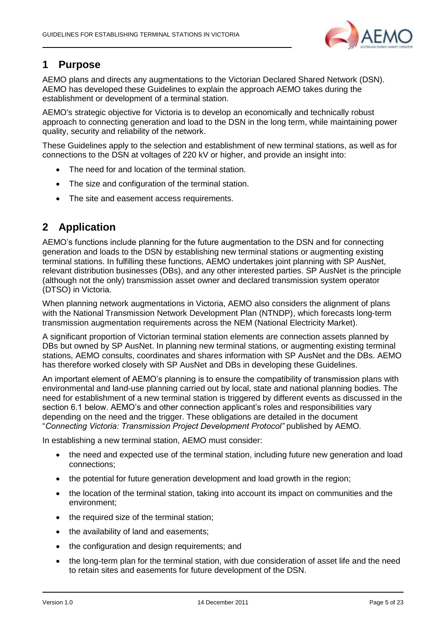

## <span id="page-4-0"></span>**1 Purpose**

AEMO plans and directs any augmentations to the Victorian Declared Shared Network (DSN). AEMO has developed these Guidelines to explain the approach AEMO takes during the establishment or development of a terminal station.

AEMO's strategic objective for Victoria is to develop an economically and technically robust approach to connecting generation and load to the DSN in the long term, while maintaining power quality, security and reliability of the network.

These Guidelines apply to the selection and establishment of new terminal stations, as well as for connections to the DSN at voltages of 220 kV or higher, and provide an insight into:

- The need for and location of the terminal station.
- The size and configuration of the terminal station.
- The site and easement access requirements.

## <span id="page-4-1"></span>**2 Application**

AEMO's functions include planning for the future augmentation to the DSN and for connecting generation and loads to the DSN by establishing new terminal stations or augmenting existing terminal stations. In fulfilling these functions, AEMO undertakes joint planning with SP AusNet, relevant distribution businesses (DBs), and any other interested parties. SP AusNet is the principle (although not the only) transmission asset owner and declared transmission system operator (DTSO) in Victoria.

When planning network augmentations in Victoria, AEMO also considers the alignment of plans with the National Transmission Network Development Plan (NTNDP), which forecasts long-term transmission augmentation requirements across the NEM (National Electricity Market).

A significant proportion of Victorian terminal station elements are connection assets planned by DBs but owned by SP AusNet. In planning new terminal stations, or augmenting existing terminal stations, AEMO consults, coordinates and shares information with SP AusNet and the DBs. AEMO has therefore worked closely with SP AusNet and DBs in developing these Guidelines.

An important element of AEMO's planning is to ensure the compatibility of transmission plans with environmental and land-use planning carried out by local, state and national planning bodies. The need for establishment of a new terminal station is triggered by different events as discussed in the section 6.1 below. AEMO's and other connection applicant's roles and responsibilities vary depending on the need and the trigger. These obligations are detailed in the document "*Connecting Victoria: Transmission Project Development Protocol"* published by AEMO*.*

In establishing a new terminal station, AEMO must consider:

- the need and expected use of the terminal station, including future new generation and load connections;
- the potential for future generation development and load growth in the region;
- the location of the terminal station, taking into account its impact on communities and the environment;
- the required size of the terminal station;
- the availability of land and easements;
- the configuration and design requirements; and
- the long-term plan for the terminal station, with due consideration of asset life and the need to retain sites and easements for future development of the DSN.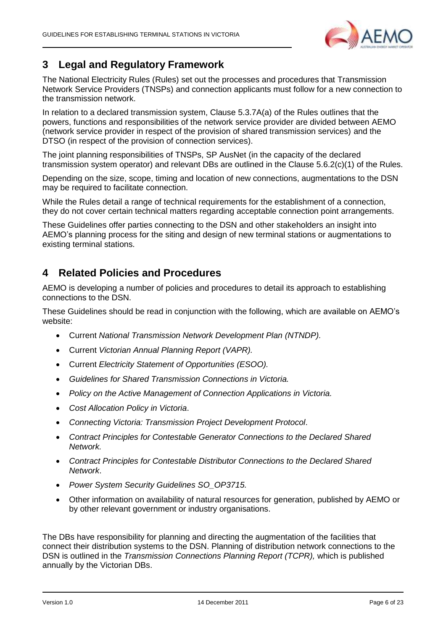

## <span id="page-5-0"></span>**3 Legal and Regulatory Framework**

The National Electricity Rules (Rules) set out the processes and procedures that Transmission Network Service Providers (TNSPs) and connection applicants must follow for a new connection to the transmission network.

In relation to a declared transmission system, Clause 5.3.7A(a) of the Rules outlines that the powers, functions and responsibilities of the network service provider are divided between AEMO (network service provider in respect of the provision of shared transmission services) and the DTSO (in respect of the provision of connection services).

The joint planning responsibilities of TNSPs, SP AusNet (in the capacity of the declared transmission system operator) and relevant DBs are outlined in the Clause 5.6.2(c)(1) of the Rules.

Depending on the size, scope, timing and location of new connections, augmentations to the DSN may be required to facilitate connection.

While the Rules detail a range of technical requirements for the establishment of a connection, they do not cover certain technical matters regarding acceptable connection point arrangements.

These Guidelines offer parties connecting to the DSN and other stakeholders an insight into AEMO's planning process for the siting and design of new terminal stations or augmentations to existing terminal stations.

## <span id="page-5-1"></span>**4 Related Policies and Procedures**

AEMO is developing a number of policies and procedures to detail its approach to establishing connections to the DSN.

These Guidelines should be read in conjunction with the following, which are available on AEMO's website:

- Current *National Transmission Network Development Plan (NTNDP).*
- Current *Victorian Annual Planning Report (VAPR).*
- Current *Electricity Statement of Opportunities (ESOO).*
- *Guidelines for Shared Transmission Connections in Victoria.*
- *Policy on the Active Management of Connection Applications in Victoria.*
- *Cost Allocation Policy in Victoria*.
- *Connecting Victoria: Transmission Project Development Protocol*.
- *Contract Principles for Contestable Generator Connections to the Declared Shared Network.*
- *Contract Principles for Contestable Distributor Connections to the Declared Shared Network*.
- *Power System Security Guidelines SO\_OP3715.*
- Other information on availability of natural resources for generation, published by AEMO or by other relevant government or industry organisations.

The DBs have responsibility for planning and directing the augmentation of the facilities that connect their distribution systems to the DSN. Planning of distribution network connections to the DSN is outlined in the *Transmission Connections Planning Report (TCPR),* which is published annually by the Victorian DBs.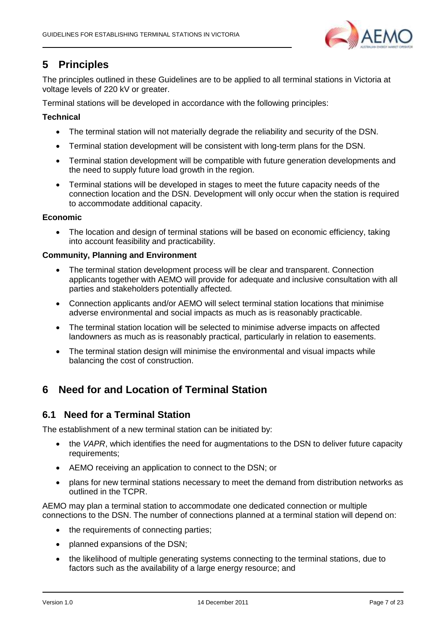

## <span id="page-6-0"></span>**5 Principles**

The principles outlined in these Guidelines are to be applied to all terminal stations in Victoria at voltage levels of 220 kV or greater.

Terminal stations will be developed in accordance with the following principles:

#### **Technical**

- The terminal station will not materially degrade the reliability and security of the DSN.
- Terminal station development will be consistent with long-term plans for the DSN.
- Terminal station development will be compatible with future generation developments and the need to supply future load growth in the region.
- Terminal stations will be developed in stages to meet the future capacity needs of the connection location and the DSN. Development will only occur when the station is required to accommodate additional capacity.

#### **Economic**

• The location and design of terminal stations will be based on economic efficiency, taking into account feasibility and practicability.

#### **Community, Planning and Environment**

- The terminal station development process will be clear and transparent. Connection applicants together with AEMO will provide for adequate and inclusive consultation with all parties and stakeholders potentially affected.
- Connection applicants and/or AEMO will select terminal station locations that minimise adverse environmental and social impacts as much as is reasonably practicable.
- The terminal station location will be selected to minimise adverse impacts on affected landowners as much as is reasonably practical, particularly in relation to easements.
- The terminal station design will minimise the environmental and visual impacts while balancing the cost of construction.

## <span id="page-6-1"></span>**6 Need for and Location of Terminal Station**

### <span id="page-6-2"></span>**6.1 Need for a Terminal Station**

The establishment of a new terminal station can be initiated by:

- the *VAPR*, which identifies the need for augmentations to the DSN to deliver future capacity requirements;
- AEMO receiving an application to connect to the DSN; or
- plans for new terminal stations necessary to meet the demand from distribution networks as outlined in the TCPR.

AEMO may plan a terminal station to accommodate one dedicated connection or multiple connections to the DSN. The number of connections planned at a terminal station will depend on:

- the requirements of connecting parties:
- planned expansions of the DSN;
- the likelihood of multiple generating systems connecting to the terminal stations, due to factors such as the availability of a large energy resource; and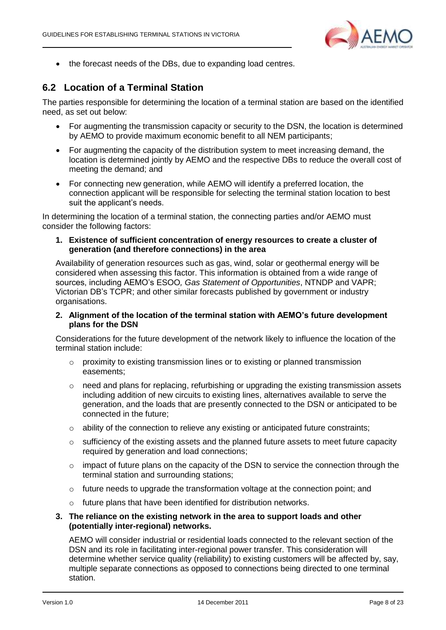

• the forecast needs of the DBs, due to expanding load centres.

## <span id="page-7-0"></span>**6.2 Location of a Terminal Station**

The parties responsible for determining the location of a terminal station are based on the identified need, as set out below:

- For augmenting the transmission capacity or security to the DSN, the location is determined by AEMO to provide maximum economic benefit to all NEM participants;
- For augmenting the capacity of the distribution system to meet increasing demand, the location is determined jointly by AEMO and the respective DBs to reduce the overall cost of meeting the demand; and
- For connecting new generation, while AEMO will identify a preferred location, the connection applicant will be responsible for selecting the terminal station location to best suit the applicant's needs.

In determining the location of a terminal station, the connecting parties and/or AEMO must consider the following factors:

**1. Existence of sufficient concentration of energy resources to create a cluster of generation (and therefore connections) in the area**

Availability of generation resources such as gas, wind, solar or geothermal energy will be considered when assessing this factor. This information is obtained from a wide range of sources, including AEMO's ESOO*, Gas Statement of Opportunities*, NTNDP and VAPR; Victorian DB's TCPR; and other similar forecasts published by government or industry organisations.

#### **2. Alignment of the location of the terminal station with AEMO's future development plans for the DSN**

Considerations for the future development of the network likely to influence the location of the terminal station include:

- o proximity to existing transmission lines or to existing or planned transmission easements;
- o need and plans for replacing, refurbishing or upgrading the existing transmission assets including addition of new circuits to existing lines, alternatives available to serve the generation, and the loads that are presently connected to the DSN or anticipated to be connected in the future;
- $\circ$  ability of the connection to relieve any existing or anticipated future constraints;
- $\circ$  sufficiency of the existing assets and the planned future assets to meet future capacity required by generation and load connections;
- $\circ$  impact of future plans on the capacity of the DSN to service the connection through the terminal station and surrounding stations;
- $\circ$  future needs to upgrade the transformation voltage at the connection point: and
- o future plans that have been identified for distribution networks.
- **3. The reliance on the existing network in the area to support loads and other (potentially inter-regional) networks.**

AEMO will consider industrial or residential loads connected to the relevant section of the DSN and its role in facilitating inter-regional power transfer. This consideration will determine whether service quality (reliability) to existing customers will be affected by, say, multiple separate connections as opposed to connections being directed to one terminal station.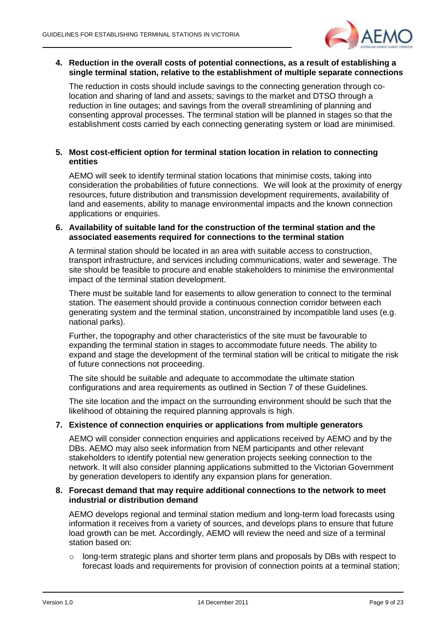

#### **4. Reduction in the overall costs of potential connections, as a result of establishing a single terminal station, relative to the establishment of multiple separate connections**

The reduction in costs should include savings to the connecting generation through colocation and sharing of land and assets; savings to the market and DTSO through a reduction in line outages; and savings from the overall streamlining of planning and consenting approval processes. The terminal station will be planned in stages so that the establishment costs carried by each connecting generating system or load are minimised.

#### **5. Most cost-efficient option for terminal station location in relation to connecting entities**

AEMO will seek to identify terminal station locations that minimise costs, taking into consideration the probabilities of future connections. We will look at the proximity of energy resources, future distribution and transmission development requirements, availability of land and easements, ability to manage environmental impacts and the known connection applications or enquiries.

#### **6. Availability of suitable land for the construction of the terminal station and the associated easements required for connections to the terminal station**

A terminal station should be located in an area with suitable access to construction, transport infrastructure, and services including communications, water and sewerage. The site should be feasible to procure and enable stakeholders to minimise the environmental impact of the terminal station development.

There must be suitable land for easements to allow generation to connect to the terminal station. The easement should provide a continuous connection corridor between each generating system and the terminal station, unconstrained by incompatible land uses (e.g. national parks).

Further, the topography and other characteristics of the site must be favourable to expanding the terminal station in stages to accommodate future needs. The ability to expand and stage the development of the terminal station will be critical to mitigate the risk of future connections not proceeding.

The site should be suitable and adequate to accommodate the ultimate station configurations and area requirements as outlined in Section 7 of these Guidelines.

The site location and the impact on the surrounding environment should be such that the likelihood of obtaining the required planning approvals is high.

#### **7. Existence of connection enquiries or applications from multiple generators**

AEMO will consider connection enquiries and applications received by AEMO and by the DBs. AEMO may also seek information from NEM participants and other relevant stakeholders to identify potential new generation projects seeking connection to the network. It will also consider planning applications submitted to the Victorian Government by generation developers to identify any expansion plans for generation.

#### **8. Forecast demand that may require additional connections to the network to meet industrial or distribution demand**

AEMO develops regional and terminal station medium and long-term load forecasts using information it receives from a variety of sources, and develops plans to ensure that future load growth can be met. Accordingly, AEMO will review the need and size of a terminal station based on:

 $\circ$  long-term strategic plans and shorter term plans and proposals by DBs with respect to forecast loads and requirements for provision of connection points at a terminal station;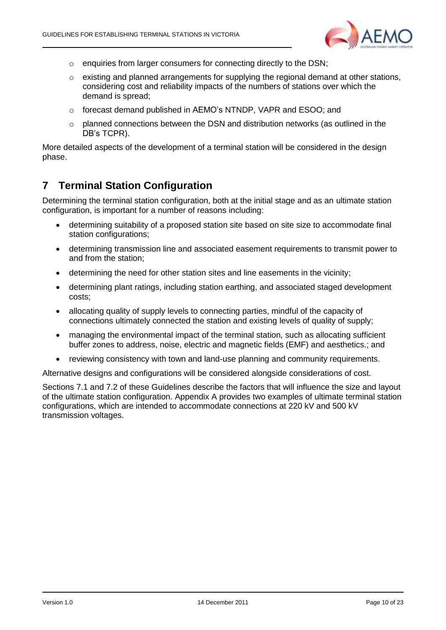

- o enquiries from larger consumers for connecting directly to the DSN;
- o existing and planned arrangements for supplying the regional demand at other stations, considering cost and reliability impacts of the numbers of stations over which the demand is spread;
- o forecast demand published in AEMO's NTNDP, VAPR and ESOO; and
- $\circ$  planned connections between the DSN and distribution networks (as outlined in the DB's TCPR).

More detailed aspects of the development of a terminal station will be considered in the design phase.

## <span id="page-9-0"></span>**7 Terminal Station Configuration**

Determining the terminal station configuration, both at the initial stage and as an ultimate station configuration, is important for a number of reasons including:

- determining suitability of a proposed station site based on site size to accommodate final station configurations;
- determining transmission line and associated easement requirements to transmit power to and from the station;
- determining the need for other station sites and line easements in the vicinity;
- determining plant ratings, including station earthing, and associated staged development costs;
- allocating quality of supply levels to connecting parties, mindful of the capacity of connections ultimately connected the station and existing levels of quality of supply;
- managing the environmental impact of the terminal station, such as allocating sufficient buffer zones to address, noise, electric and magnetic fields (EMF) and aesthetics.; and
- reviewing consistency with town and land-use planning and community requirements.

Alternative designs and configurations will be considered alongside considerations of cost.

Sections 7.1 and 7.2 of these Guidelines describe the factors that will influence the size and layout of the ultimate station configuration. Appendix A provides two examples of ultimate terminal station configurations, which are intended to accommodate connections at 220 kV and 500 kV transmission voltages.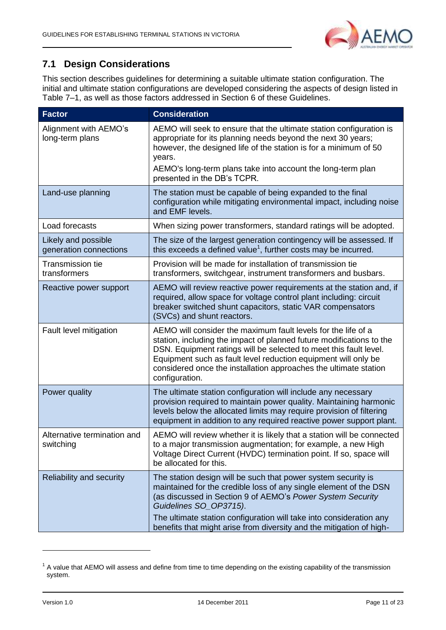

## <span id="page-10-0"></span>**7.1 Design Considerations**

This section describes guidelines for determining a suitable ultimate station configuration. The initial and ultimate station configurations are developed considering the aspects of design listed in Table 7–1, as well as those factors addressed in Section [6](#page-6-1) of these Guidelines.

| <b>Factor</b>                                 | <b>Consideration</b>                                                                                                                                                                                                                                                                                                                                               |
|-----------------------------------------------|--------------------------------------------------------------------------------------------------------------------------------------------------------------------------------------------------------------------------------------------------------------------------------------------------------------------------------------------------------------------|
| Alignment with AEMO's<br>long-term plans      | AEMO will seek to ensure that the ultimate station configuration is<br>appropriate for its planning needs beyond the next 30 years;<br>however, the designed life of the station is for a minimum of 50<br>years.<br>AEMO's long-term plans take into account the long-term plan                                                                                   |
|                                               | presented in the DB's TCPR.                                                                                                                                                                                                                                                                                                                                        |
| Land-use planning                             | The station must be capable of being expanded to the final<br>configuration while mitigating environmental impact, including noise<br>and EMF levels.                                                                                                                                                                                                              |
| Load forecasts                                | When sizing power transformers, standard ratings will be adopted.                                                                                                                                                                                                                                                                                                  |
| Likely and possible<br>generation connections | The size of the largest generation contingency will be assessed. If<br>this exceeds a defined value <sup>1</sup> , further costs may be incurred.                                                                                                                                                                                                                  |
| <b>Transmission tie</b><br>transformers       | Provision will be made for installation of transmission tie<br>transformers, switchgear, instrument transformers and busbars.                                                                                                                                                                                                                                      |
| Reactive power support                        | AEMO will review reactive power requirements at the station and, if<br>required, allow space for voltage control plant including: circuit<br>breaker switched shunt capacitors, static VAR compensators<br>(SVCs) and shunt reactors.                                                                                                                              |
| Fault level mitigation                        | AEMO will consider the maximum fault levels for the life of a<br>station, including the impact of planned future modifications to the<br>DSN. Equipment ratings will be selected to meet this fault level.<br>Equipment such as fault level reduction equipment will only be<br>considered once the installation approaches the ultimate station<br>configuration. |
| Power quality                                 | The ultimate station configuration will include any necessary<br>provision required to maintain power quality. Maintaining harmonic<br>levels below the allocated limits may require provision of filtering<br>equipment in addition to any required reactive power support plant.                                                                                 |
| Alternative termination and<br>switching      | AEMO will review whether it is likely that a station will be connected<br>to a major transmission augmentation; for example, a new High<br>Voltage Direct Current (HVDC) termination point. If so, space will<br>be allocated for this.                                                                                                                            |
| Reliability and security                      | The station design will be such that power system security is<br>maintained for the credible loss of any single element of the DSN<br>(as discussed in Section 9 of AEMO's Power System Security<br>Guidelines SO_OP3715).                                                                                                                                         |
|                                               | The ultimate station configuration will take into consideration any<br>benefits that might arise from diversity and the mitigation of high-                                                                                                                                                                                                                        |

 $1$  A value that AEMO will assess and define from time to time depending on the existing capability of the transmission system.

-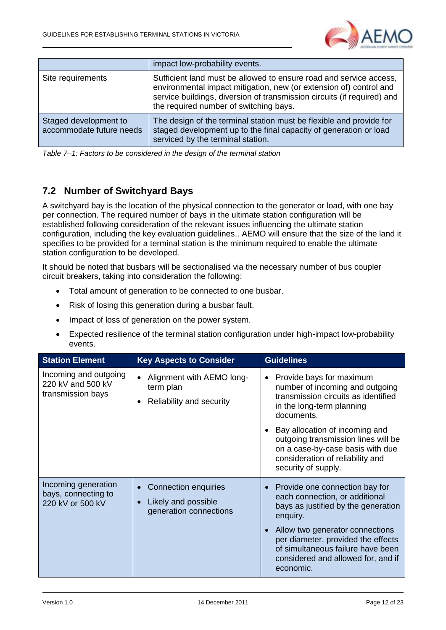

|                                                   | impact low-probability events.                                                                                                                                                                                                                                |
|---------------------------------------------------|---------------------------------------------------------------------------------------------------------------------------------------------------------------------------------------------------------------------------------------------------------------|
| Site requirements                                 | Sufficient land must be allowed to ensure road and service access,<br>environmental impact mitigation, new (or extension of) control and<br>service buildings, diversion of transmission circuits (if required) and<br>the required number of switching bays. |
| Staged development to<br>accommodate future needs | The design of the terminal station must be flexible and provide for<br>staged development up to the final capacity of generation or load<br>serviced by the terminal station.                                                                                 |

*Table 7–1: Factors to be considered in the design of the terminal station*

## <span id="page-11-0"></span>**7.2 Number of Switchyard Bays**

A switchyard bay is the location of the physical connection to the generator or load, with one bay per connection. The required number of bays in the ultimate station configuration will be established following consideration of the relevant issues influencing the ultimate station configuration, including the key evaluation guidelines.. AEMO will ensure that the size of the land it specifies to be provided for a terminal station is the minimum required to enable the ultimate station configuration to be developed.

It should be noted that busbars will be sectionalised via the necessary number of bus coupler circuit breakers, taking into consideration the following:

- Total amount of generation to be connected to one busbar.
- Risk of losing this generation during a busbar fault.
- Impact of loss of generation on the power system.
- Expected resilience of the terminal station configuration under high-impact low-probability events.

| <b>Station Element</b><br><b>Key Aspects to Consider</b>        |                                                                                    | <b>Guidelines</b>                                                                                                                                                                                                                                                                                                                  |  |  |
|-----------------------------------------------------------------|------------------------------------------------------------------------------------|------------------------------------------------------------------------------------------------------------------------------------------------------------------------------------------------------------------------------------------------------------------------------------------------------------------------------------|--|--|
| Incoming and outgoing<br>220 kV and 500 kV<br>transmission bays | Alignment with AEMO long-<br>$\bullet$<br>term plan<br>Reliability and security    | Provide bays for maximum<br>$\bullet$<br>number of incoming and outgoing<br>transmission circuits as identified<br>in the long-term planning<br>documents.<br>Bay allocation of incoming and<br>outgoing transmission lines will be<br>on a case-by-case basis with due<br>consideration of reliability and<br>security of supply. |  |  |
| Incoming generation<br>bays, connecting to<br>220 kV or 500 kV  | Connection enquiries<br>Likely and possible<br>$\bullet$<br>generation connections | Provide one connection bay for<br>each connection, or additional<br>bays as justified by the generation<br>enquiry.<br>Allow two generator connections<br>per diameter, provided the effects<br>of simultaneous failure have been<br>considered and allowed for, and if<br>economic.                                               |  |  |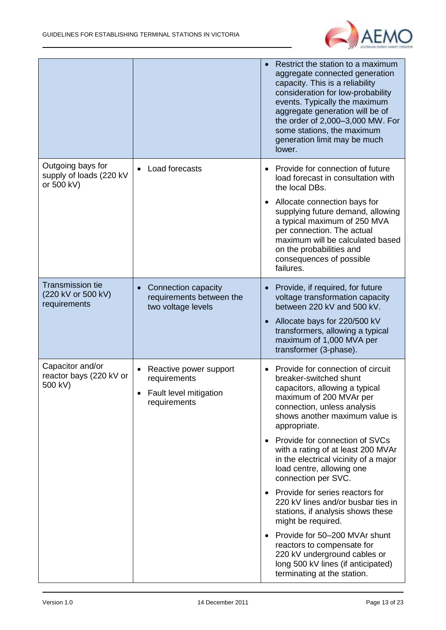

|                                                               |                                                                                    | Restrict the station to a maximum<br>aggregate connected generation<br>capacity. This is a reliability<br>consideration for low-probability<br>events. Typically the maximum<br>aggregate generation will be of<br>the order of 2,000-3,000 MW. For<br>some stations, the maximum<br>generation limit may be much<br>lower.                                                                                                                                                                                                                                                                                                                                                                                                   |
|---------------------------------------------------------------|------------------------------------------------------------------------------------|-------------------------------------------------------------------------------------------------------------------------------------------------------------------------------------------------------------------------------------------------------------------------------------------------------------------------------------------------------------------------------------------------------------------------------------------------------------------------------------------------------------------------------------------------------------------------------------------------------------------------------------------------------------------------------------------------------------------------------|
| Outgoing bays for<br>supply of loads (220 kV<br>or 500 kV)    | Load forecasts<br>$\bullet$                                                        | Provide for connection of future<br>$\bullet$<br>load forecast in consultation with<br>the local DBs.<br>Allocate connection bays for<br>$\bullet$<br>supplying future demand, allowing<br>a typical maximum of 250 MVA<br>per connection. The actual<br>maximum will be calculated based<br>on the probabilities and<br>consequences of possible<br>failures.                                                                                                                                                                                                                                                                                                                                                                |
| <b>Transmission tie</b><br>(220 kV or 500 kV)<br>requirements | Connection capacity<br>$\bullet$<br>requirements between the<br>two voltage levels | Provide, if required, for future<br>voltage transformation capacity<br>between 220 kV and 500 kV.<br>Allocate bays for 220/500 kV<br>transformers, allowing a typical<br>maximum of 1,000 MVA per<br>transformer (3-phase).                                                                                                                                                                                                                                                                                                                                                                                                                                                                                                   |
| Capacitor and/or<br>reactor bays (220 kV or<br>500 kV)        | Reactive power support<br>requirements<br>Fault level mitigation<br>requirements   | Provide for connection of circuit<br>breaker-switched shunt<br>capacitors, allowing a typical<br>maximum of 200 MVAr per<br>connection, unless analysis<br>shows another maximum value is<br>appropriate.<br>Provide for connection of SVCs<br>$\bullet$<br>with a rating of at least 200 MVAr<br>in the electrical vicinity of a major<br>load centre, allowing one<br>connection per SVC.<br>Provide for series reactors for<br>$\bullet$<br>220 kV lines and/or busbar ties in<br>stations, if analysis shows these<br>might be required.<br>Provide for 50-200 MVAr shunt<br>$\bullet$<br>reactors to compensate for<br>220 kV underground cables or<br>long 500 kV lines (if anticipated)<br>terminating at the station. |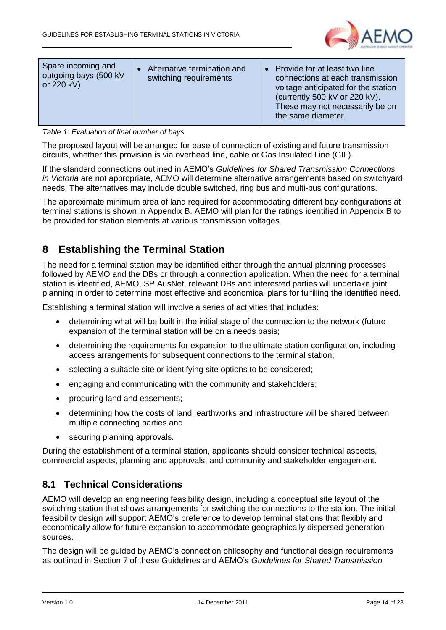

| Spare incoming and<br>outgoing bays (500 kV<br>or 220 kV) | Alternative termination and<br>switching requirements | • Provide for at least two line<br>connections at each transmission<br>voltage anticipated for the station<br>(currently 500 kV or 220 kV).<br>These may not necessarily be on<br>the same diameter. |
|-----------------------------------------------------------|-------------------------------------------------------|------------------------------------------------------------------------------------------------------------------------------------------------------------------------------------------------------|
|-----------------------------------------------------------|-------------------------------------------------------|------------------------------------------------------------------------------------------------------------------------------------------------------------------------------------------------------|

*Table 1: Evaluation of final number of bays*

The proposed layout will be arranged for ease of connection of existing and future transmission circuits, whether this provision is via overhead line, cable or Gas Insulated Line (GIL).

If the standard connections outlined in AEMO's *Guidelines for Shared Transmission Connections in Victoria* are not appropriate, AEMO will determine alternative arrangements based on switchyard needs. The alternatives may include double switched, ring bus and multi-bus configurations.

The approximate minimum area of land required for accommodating different bay configurations at terminal stations is shown in Appendix B. AEMO will plan for the ratings identified in Appendix B to be provided for station elements at various transmission voltages.

## <span id="page-13-0"></span>**8 Establishing the Terminal Station**

The need for a terminal station may be identified either through the annual planning processes followed by AEMO and the DBs or through a connection application. When the need for a terminal station is identified, AEMO, SP AusNet, relevant DBs and interested parties will undertake joint planning in order to determine most effective and economical plans for fulfilling the identified need.

Establishing a terminal station will involve a series of activities that includes:

- determining what will be built in the initial stage of the connection to the network (future expansion of the terminal station will be on a needs basis;
- determining the requirements for expansion to the ultimate station configuration, including access arrangements for subsequent connections to the terminal station;
- selecting a suitable site or identifying site options to be considered;
- engaging and communicating with the community and stakeholders;
- procuring land and easements;
- determining how the costs of land, earthworks and infrastructure will be shared between multiple connecting parties and
- securing planning approvals.

During the establishment of a terminal station, applicants should consider technical aspects, commercial aspects, planning and approvals, and community and stakeholder engagement.

### <span id="page-13-1"></span>**8.1 Technical Considerations**

AEMO will develop an engineering feasibility design, including a conceptual site layout of the switching station that shows arrangements for switching the connections to the station. The initial feasibility design will support AEMO's preference to develop terminal stations that flexibly and economically allow for future expansion to accommodate geographically dispersed generation sources.

The design will be guided by AEMO's connection philosophy and functional design requirements as outlined in Section [7](#page-9-0) of these Guidelines and AEMO's *Guidelines for Shared Transmission*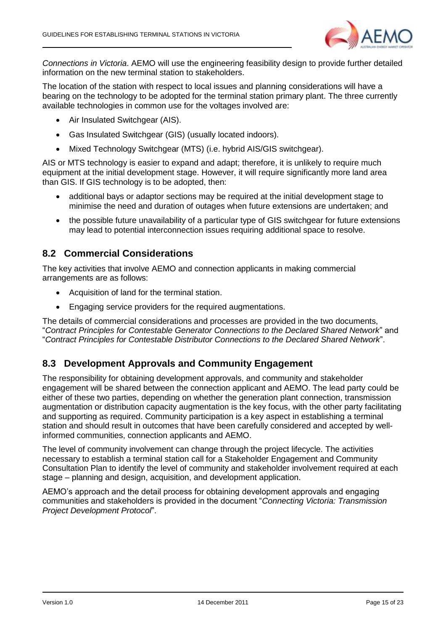

*Connections in Victoria*. AEMO will use the engineering feasibility design to provide further detailed information on the new terminal station to stakeholders.

The location of the station with respect to local issues and planning considerations will have a bearing on the technology to be adopted for the terminal station primary plant. The three currently available technologies in common use for the voltages involved are:

- Air Insulated Switchgear (AIS).
- Gas Insulated Switchgear (GIS) (usually located indoors).
- Mixed Technology Switchgear (MTS) (i.e. hybrid AIS/GIS switchgear).

AIS or MTS technology is easier to expand and adapt; therefore, it is unlikely to require much equipment at the initial development stage. However, it will require significantly more land area than GIS. If GIS technology is to be adopted, then:

- additional bays or adaptor sections may be required at the initial development stage to minimise the need and duration of outages when future extensions are undertaken; and
- the possible future unavailability of a particular type of GIS switchgear for future extensions may lead to potential interconnection issues requiring additional space to resolve.

### <span id="page-14-0"></span>**8.2 Commercial Considerations**

The key activities that involve AEMO and connection applicants in making commercial arrangements are as follows:

- Acquisition of land for the terminal station.
- Engaging service providers for the required augmentations.

The details of commercial considerations and processes are provided in the two documents, "*Contract Principles for Contestable Generator Connections to the Declared Shared Network*" and "*Contract Principles for Contestable Distributor Connections to the Declared Shared Network*".

### <span id="page-14-1"></span>**8.3 Development Approvals and Community Engagement**

The responsibility for obtaining development approvals, and community and stakeholder engagement will be shared between the connection applicant and AEMO. The lead party could be either of these two parties, depending on whether the generation plant connection, transmission augmentation or distribution capacity augmentation is the key focus, with the other party facilitating and supporting as required. Community participation is a key aspect in establishing a terminal station and should result in outcomes that have been carefully considered and accepted by wellinformed communities, connection applicants and AEMO.

The level of community involvement can change through the project lifecycle. The activities necessary to establish a terminal station call for a Stakeholder Engagement and Community Consultation Plan to identify the level of community and stakeholder involvement required at each stage – planning and design, acquisition, and development application.

AEMO's approach and the detail process for obtaining development approvals and engaging communities and stakeholders is provided in the document "*Connecting Victoria: Transmission Project Development Protocol*".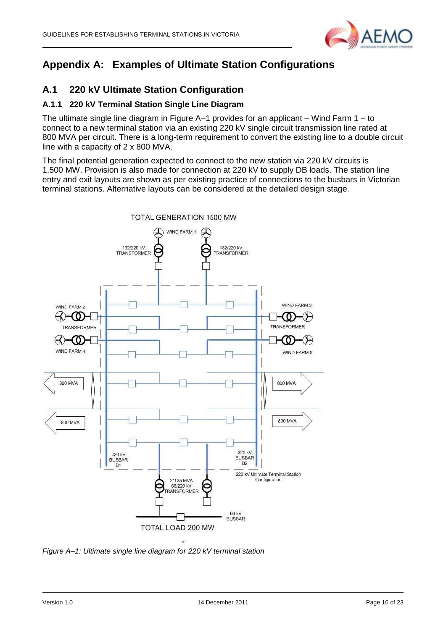

## <span id="page-15-0"></span>**Appendix A: Examples of Ultimate Station Configurations**

## **A.1 220 kV Ultimate Station Configuration**

## **A.1.1 220 kV Terminal Station Single Line Diagram**

The ultimate single line diagram in Figure A–1 provides for an applicant – Wind Farm 1 – to connect to a new terminal station via an existing 220 kV single circuit transmission line rated at 800 MVA per circuit. There is a long-term requirement to convert the existing line to a double circuit line with a capacity of 2 x 800 MVA.

The final potential generation expected to connect to the new station via 220 kV circuits is 1,500 MW. Provision is also made for connection at 220 kV to supply DB loads. The station line entry and exit layouts are shown as per existing practice of connections to the busbars in Victorian terminal stations. Alternative layouts can be considered at the detailed design stage.



*Figure A–1: Ultimate single line diagram for 220 kV terminal station*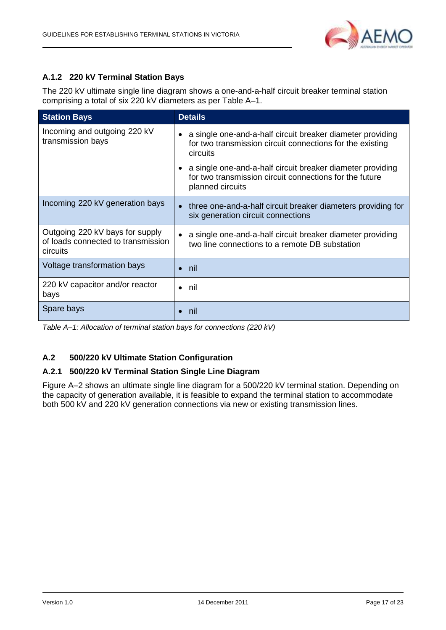

## **A.1.2 220 kV Terminal Station Bays**

The 220 kV ultimate single line diagram shows a one-and-a-half circuit breaker terminal station comprising a total of six 220 kV diameters as per Table A–1.

| <b>Station Bays</b>                                                               | <b>Details</b>                                                                                                                                         |
|-----------------------------------------------------------------------------------|--------------------------------------------------------------------------------------------------------------------------------------------------------|
| Incoming and outgoing 220 kV<br>transmission bays                                 | a single one-and-a-half circuit breaker diameter providing<br>for two transmission circuit connections for the existing<br>circuits                    |
|                                                                                   | a single one-and-a-half circuit breaker diameter providing<br>$\bullet$<br>for two transmission circuit connections for the future<br>planned circuits |
| Incoming 220 kV generation bays                                                   | three one-and-a-half circuit breaker diameters providing for<br>$\bullet$<br>six generation circuit connections                                        |
| Outgoing 220 kV bays for supply<br>of loads connected to transmission<br>circuits | a single one-and-a-half circuit breaker diameter providing<br>$\bullet$<br>two line connections to a remote DB substation                              |
| Voltage transformation bays                                                       | nil                                                                                                                                                    |
| 220 kV capacitor and/or reactor<br>bays                                           | nil<br>$\bullet$                                                                                                                                       |
| Spare bays                                                                        | nil                                                                                                                                                    |

*Table A–1: Allocation of terminal station bays for connections (220 kV)*

### **A.2 500/220 kV Ultimate Station Configuration**

#### **A.2.1 500/220 kV Terminal Station Single Line Diagram**

[Figure A–2](#page-17-0) shows an ultimate single line diagram for a 500/220 kV terminal station. Depending on the capacity of generation available, it is feasible to expand the terminal station to accommodate both 500 kV and 220 kV generation connections via new or existing transmission lines.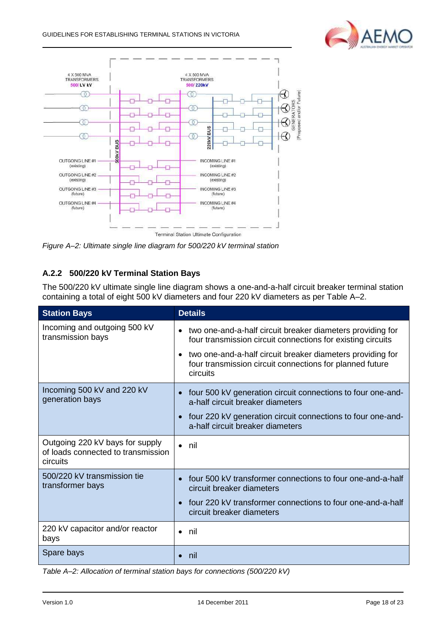



<span id="page-17-0"></span>*Figure A–2: Ultimate single line diagram for 500/220 kV terminal station*

## **A.2.2 500/220 kV Terminal Station Bays**

The 500/220 kV ultimate single line diagram shows a one-and-a-half circuit breaker terminal station containing a total of eight 500 kV diameters and four 220 kV diameters as per Table A–2.

| <b>Station Bays</b>                                                               | <b>Details</b>                                                                                                                                  |
|-----------------------------------------------------------------------------------|-------------------------------------------------------------------------------------------------------------------------------------------------|
| Incoming and outgoing 500 kV<br>transmission bays                                 | two one-and-a-half circuit breaker diameters providing for<br>four transmission circuit connections for existing circuits                       |
|                                                                                   | two one-and-a-half circuit breaker diameters providing for<br>$\bullet$<br>four transmission circuit connections for planned future<br>circuits |
| Incoming 500 kV and 220 kV<br>generation bays                                     | four 500 kV generation circuit connections to four one-and-<br>$\bullet$<br>a-half circuit breaker diameters                                    |
|                                                                                   | four 220 kV generation circuit connections to four one-and-<br>$\bullet$<br>a-half circuit breaker diameters                                    |
| Outgoing 220 kV bays for supply<br>of loads connected to transmission<br>circuits | nil<br>$\bullet$                                                                                                                                |
| 500/220 kV transmission tie<br>transformer bays                                   | four 500 kV transformer connections to four one-and-a-half<br>circuit breaker diameters                                                         |
|                                                                                   | four 220 kV transformer connections to four one-and-a-half<br>circuit breaker diameters                                                         |
| 220 kV capacitor and/or reactor<br>bays                                           | nil<br>$\bullet$                                                                                                                                |
| Spare bays                                                                        | nil                                                                                                                                             |

*Table A–2: Allocation of terminal station bays for connections (500/220 kV)*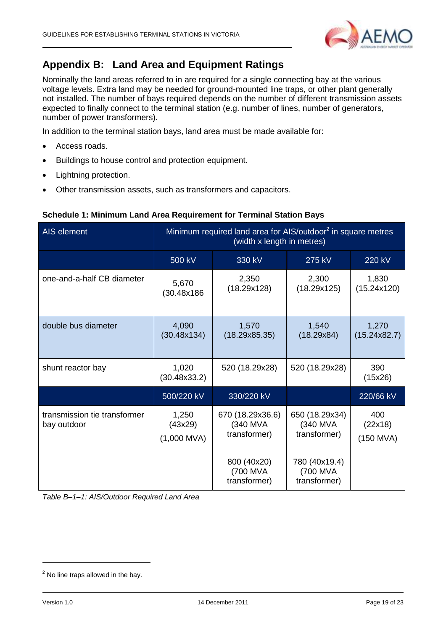

## <span id="page-18-0"></span>**Appendix B: Land Area and Equipment Ratings**

Nominally the land areas referred to in are required for a single connecting bay at the various voltage levels. Extra land may be needed for ground-mounted line traps, or other plant generally not installed. The number of bays required depends on the number of different transmission assets expected to finally connect to the terminal station (e.g. number of lines, number of generators, number of power transformers).

In addition to the terminal station bays, land area must be made available for:

- Access roads.
- Buildings to house control and protection equipment.
- Lightning protection.
- Other transmission assets, such as transformers and capacitors.

| AIS element                                 | Minimum required land area for AIS/outdoor <sup>2</sup> in square metres<br>(width x length in metres) |                                              |                                            |                               |  |
|---------------------------------------------|--------------------------------------------------------------------------------------------------------|----------------------------------------------|--------------------------------------------|-------------------------------|--|
|                                             | 500 kV                                                                                                 | 330 kV                                       | 275 kV                                     | 220 kV                        |  |
| one-and-a-half CB diameter                  | 5,670<br>(30.48x186                                                                                    | 2,350<br>(18.29x128)                         | 2,300<br>(18.29x125)                       | 1,830<br>(15.24x120)          |  |
| double bus diameter                         | 4,090<br>(30.48x134)                                                                                   | 1,570<br>(18.29x85.35)                       | 1,540<br>(18.29x84)                        | 1,270<br>(15.24x82.7)         |  |
| shunt reactor bay                           | 1,020<br>(30.48x33.2)                                                                                  | 520 (18.29x28)                               | 520 (18.29x28)                             | 390<br>(15x26)                |  |
|                                             | 500/220 kV                                                                                             | 330/220 kV                                   |                                            | 220/66 kV                     |  |
| transmission tie transformer<br>bay outdoor | 1,250<br>(43x29)<br>$(1,000$ MVA)                                                                      | 670 (18.29x36.6)<br>(340 MVA<br>transformer) | 650 (18.29x34)<br>(340 MVA<br>transformer) | 400<br>(22x18)<br>$(150$ MVA) |  |
|                                             |                                                                                                        | 800 (40x20)<br>(700 MVA<br>transformer)      | 780 (40x19.4)<br>(700 MVA<br>transformer)  |                               |  |

#### **Schedule 1: Minimum Land Area Requirement for Terminal Station Bays**

*Table B–1–1: AIS/Outdoor Required Land Area*

-

 $<sup>2</sup>$  No line traps allowed in the bay.</sup>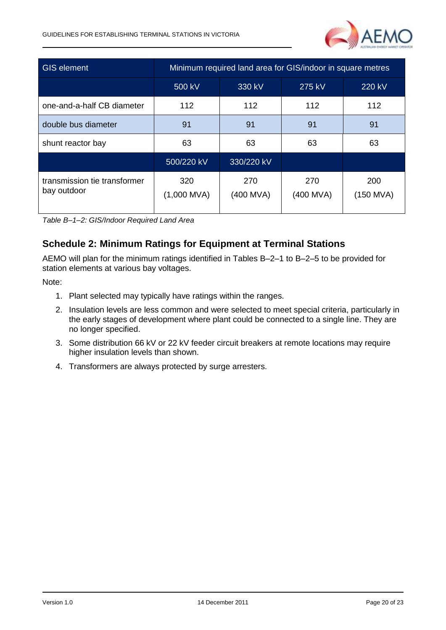

| <b>GIS element</b>                          | Minimum required land area for GIS/indoor in square metres |                  |                  |                    |  |
|---------------------------------------------|------------------------------------------------------------|------------------|------------------|--------------------|--|
|                                             | 500 kV                                                     | 330 kV<br>275 kV |                  | 220 kV             |  |
| one-and-a-half CB diameter                  | 112                                                        | 112              | 112              | 112                |  |
| double bus diameter                         | 91                                                         | 91               | 91               | 91                 |  |
| shunt reactor bay                           | 63                                                         | 63               | 63               | 63                 |  |
|                                             | 500/220 kV                                                 | 330/220 kV       |                  |                    |  |
| transmission tie transformer<br>bay outdoor | 320<br>$(1,000$ MVA)                                       | 270<br>(400 MVA) | 270<br>(400 MVA) | 200<br>$(150$ MVA) |  |

*Table B–1–2: GIS/Indoor Required Land Area*

## **Schedule 2: Minimum Ratings for Equipment at Terminal Stations**

AEMO will plan for the minimum ratings identified in Tables B–2–1 to B–2–5 to be provided for station elements at various bay voltages.

Note:

- 1. Plant selected may typically have ratings within the ranges.
- 2. Insulation levels are less common and were selected to meet special criteria, particularly in the early stages of development where plant could be connected to a single line. They are no longer specified.
- 3. Some distribution 66 kV or 22 kV feeder circuit breakers at remote locations may require higher insulation levels than shown.
- 4. Transformers are always protected by surge arresters.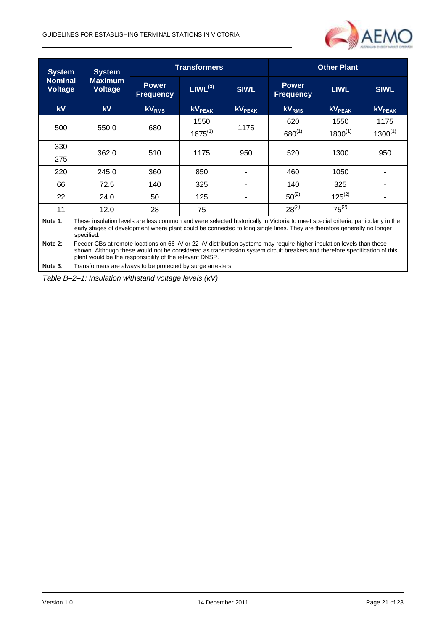

| <b>System</b>                    | <b>System</b>                                                                                                                                                                                                                                                                                                 | <b>Transformers</b>              |                          |               | <b>Other Plant</b>               |                           |               |
|----------------------------------|---------------------------------------------------------------------------------------------------------------------------------------------------------------------------------------------------------------------------------------------------------------------------------------------------------------|----------------------------------|--------------------------|---------------|----------------------------------|---------------------------|---------------|
| <b>Nominal</b><br><b>Voltage</b> | <b>Maximum</b><br><b>Voltage</b>                                                                                                                                                                                                                                                                              | <b>Power</b><br><b>Frequency</b> | $LIWL^{(3)}$             | <b>SIWL</b>   | <b>Power</b><br><b>Frequency</b> | <b>LIWL</b>               | <b>SIWL</b>   |
| kV                               | <b>kV</b>                                                                                                                                                                                                                                                                                                     | kV <sub>RMS</sub>                | <b>KV<sub>PEAK</sub></b> | <b>kVPEAK</b> | <b>kV<sub>RMS</sub></b>          | <b>kV</b> <sub>PEAK</sub> | <b>KVPEAK</b> |
|                                  |                                                                                                                                                                                                                                                                                                               |                                  | 1550                     |               | 620                              | 1550                      | 1175          |
| 500                              | 550.0                                                                                                                                                                                                                                                                                                         | 680                              | $1675^{(1)}$             | 1175          | $680^{(1)}$                      | $1800^{(1)}$              | $1300^{(1)}$  |
| 330                              |                                                                                                                                                                                                                                                                                                               |                                  |                          |               |                                  |                           |               |
| 275                              | 362.0                                                                                                                                                                                                                                                                                                         |                                  | 510<br>1175              | 950           | 520                              | 1300                      | 950           |
| 220                              | 245.0                                                                                                                                                                                                                                                                                                         | 360                              | 850                      |               | 460                              | 1050                      |               |
| 66                               | 72.5                                                                                                                                                                                                                                                                                                          | 140                              | 325                      | ۰             | 140                              | 325                       |               |
| 22                               | 24.0                                                                                                                                                                                                                                                                                                          | 50                               | 125                      |               | $50^{(2)}$                       | $125^{(2)}$               |               |
| 11                               | 12.0                                                                                                                                                                                                                                                                                                          | 28                               | 75                       |               | $28^{(2)}$                       | $75^{(2)}$                |               |
| Note 1:                          | These insulation levels are less common and were selected historically in Victoria to meet special criteria, particularly in the<br>early stages of development where plant could be connected to long single lines. They are therefore generally no longer<br>specified.                                     |                                  |                          |               |                                  |                           |               |
| Note 2:                          | Feeder CBs at remote locations on 66 kV or 22 kV distribution systems may require higher insulation levels than those<br>shown. Although these would not be considered as transmission system circuit breakers and therefore specification of this<br>plant would be the responsibility of the relevant DNSP. |                                  |                          |               |                                  |                           |               |
| Note 3:                          | Transformers are always to be protected by surge arresters                                                                                                                                                                                                                                                    |                                  |                          |               |                                  |                           |               |

*Table B–2–1: Insulation withstand voltage levels (kV)*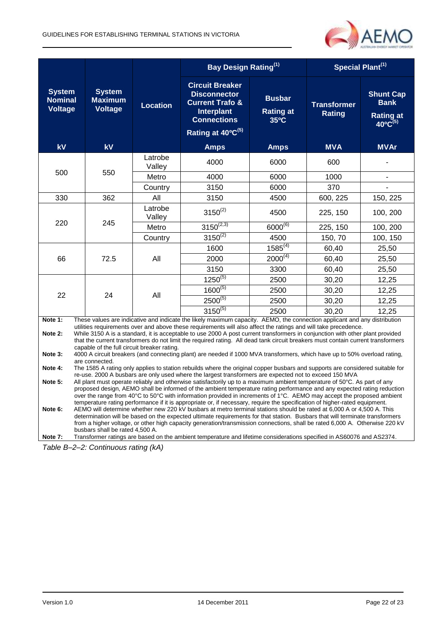

|                                                   |                                                                                                                                                                                                                                                                                                                                                                                                                                                                                                                                                                                                                                                                                                                                                                                                           |                   | Bay Design Rating <sup>(1)</sup>                                                                                                                                                                                                                 |                                                     | Special Plant <sup>(1)</sup>        |                                                                            |  |  |  |
|---------------------------------------------------|-----------------------------------------------------------------------------------------------------------------------------------------------------------------------------------------------------------------------------------------------------------------------------------------------------------------------------------------------------------------------------------------------------------------------------------------------------------------------------------------------------------------------------------------------------------------------------------------------------------------------------------------------------------------------------------------------------------------------------------------------------------------------------------------------------------|-------------------|--------------------------------------------------------------------------------------------------------------------------------------------------------------------------------------------------------------------------------------------------|-----------------------------------------------------|-------------------------------------|----------------------------------------------------------------------------|--|--|--|
| <b>System</b><br><b>Nominal</b><br><b>Voltage</b> | <b>System</b><br><b>Maximum</b><br><b>Voltage</b>                                                                                                                                                                                                                                                                                                                                                                                                                                                                                                                                                                                                                                                                                                                                                         | Location          | <b>Circuit Breaker</b><br><b>Disconnector</b><br><b>Current Trafo &amp;</b><br>Interplant<br><b>Connections</b><br>Rating at 40°C <sup>(5)</sup>                                                                                                 | <b>Busbar</b><br><b>Rating at</b><br>$35^{\circ}$ C | <b>Transformer</b><br><b>Rating</b> | <b>Shunt Cap</b><br><b>Bank</b><br><b>Rating at</b><br>$40^{\circ}C^{(5)}$ |  |  |  |
| kV                                                | kV                                                                                                                                                                                                                                                                                                                                                                                                                                                                                                                                                                                                                                                                                                                                                                                                        |                   | <b>Amps</b>                                                                                                                                                                                                                                      | <b>Amps</b>                                         | <b>MVA</b>                          | <b>MVAr</b>                                                                |  |  |  |
| 500                                               |                                                                                                                                                                                                                                                                                                                                                                                                                                                                                                                                                                                                                                                                                                                                                                                                           | Latrobe<br>Valley | 4000                                                                                                                                                                                                                                             | 6000                                                | 600                                 |                                                                            |  |  |  |
|                                                   | 550                                                                                                                                                                                                                                                                                                                                                                                                                                                                                                                                                                                                                                                                                                                                                                                                       | Metro             | 4000                                                                                                                                                                                                                                             | 6000                                                | 1000                                | $\overline{\phantom{a}}$                                                   |  |  |  |
|                                                   |                                                                                                                                                                                                                                                                                                                                                                                                                                                                                                                                                                                                                                                                                                                                                                                                           | Country           | 3150                                                                                                                                                                                                                                             | 6000                                                | 370                                 |                                                                            |  |  |  |
| 330                                               | 362                                                                                                                                                                                                                                                                                                                                                                                                                                                                                                                                                                                                                                                                                                                                                                                                       | All               | 3150                                                                                                                                                                                                                                             | 4500                                                | 600, 225                            | 150, 225                                                                   |  |  |  |
| 220                                               |                                                                                                                                                                                                                                                                                                                                                                                                                                                                                                                                                                                                                                                                                                                                                                                                           | Latrobe<br>Valley | $3150^{(2)}$                                                                                                                                                                                                                                     | 4500                                                | 225, 150                            | 100, 200                                                                   |  |  |  |
|                                                   | 245                                                                                                                                                                                                                                                                                                                                                                                                                                                                                                                                                                                                                                                                                                                                                                                                       | Metro             | $3150^{(2,3)}$                                                                                                                                                                                                                                   | $6000^{(6)}$                                        | 225, 150                            | 100, 200                                                                   |  |  |  |
|                                                   |                                                                                                                                                                                                                                                                                                                                                                                                                                                                                                                                                                                                                                                                                                                                                                                                           | Country           | $3150^{(2)}$                                                                                                                                                                                                                                     | 4500                                                | 150, 70                             | 100, 150                                                                   |  |  |  |
| 66                                                |                                                                                                                                                                                                                                                                                                                                                                                                                                                                                                                                                                                                                                                                                                                                                                                                           | All               | 1600                                                                                                                                                                                                                                             | $1585^{(4)}$                                        | 60,40                               | 25,50                                                                      |  |  |  |
|                                                   | 72.5                                                                                                                                                                                                                                                                                                                                                                                                                                                                                                                                                                                                                                                                                                                                                                                                      |                   | 2000                                                                                                                                                                                                                                             | $2000^{(4)}$                                        | 60,40                               | 25,50                                                                      |  |  |  |
|                                                   |                                                                                                                                                                                                                                                                                                                                                                                                                                                                                                                                                                                                                                                                                                                                                                                                           |                   | 3150                                                                                                                                                                                                                                             | 3300                                                | 60,40                               | 25,50                                                                      |  |  |  |
|                                                   |                                                                                                                                                                                                                                                                                                                                                                                                                                                                                                                                                                                                                                                                                                                                                                                                           | All               | $1250^{(5)}$                                                                                                                                                                                                                                     | 2500                                                | 30,20                               | 12,25                                                                      |  |  |  |
|                                                   |                                                                                                                                                                                                                                                                                                                                                                                                                                                                                                                                                                                                                                                                                                                                                                                                           |                   | $1600^{(5)}$                                                                                                                                                                                                                                     | 2500                                                | 30,20                               | 12,25                                                                      |  |  |  |
| 22                                                | 24                                                                                                                                                                                                                                                                                                                                                                                                                                                                                                                                                                                                                                                                                                                                                                                                        |                   | $2500^{(5)}$                                                                                                                                                                                                                                     | 2500                                                | 30,20                               | 12,25                                                                      |  |  |  |
|                                                   |                                                                                                                                                                                                                                                                                                                                                                                                                                                                                                                                                                                                                                                                                                                                                                                                           |                   | $3150^{(5)}$                                                                                                                                                                                                                                     | 2500                                                | 30,20                               | 12,25                                                                      |  |  |  |
| Note 1:                                           |                                                                                                                                                                                                                                                                                                                                                                                                                                                                                                                                                                                                                                                                                                                                                                                                           |                   | These values are indicative and indicate the likely maximum capacity. AEMO, the connection applicant and any distribution                                                                                                                        |                                                     |                                     |                                                                            |  |  |  |
| Note 2:                                           |                                                                                                                                                                                                                                                                                                                                                                                                                                                                                                                                                                                                                                                                                                                                                                                                           |                   | utilities requirements over and above these requirements will also affect the ratings and will take precedence.<br>While 3150 A is a standard, it is acceptable to use 2000 A post current transformers in conjunction with other plant provided |                                                     |                                     |                                                                            |  |  |  |
|                                                   |                                                                                                                                                                                                                                                                                                                                                                                                                                                                                                                                                                                                                                                                                                                                                                                                           |                   | that the current transformers do not limit the required rating. All dead tank circuit breakers must contain current transformers                                                                                                                 |                                                     |                                     |                                                                            |  |  |  |
| Note 3:                                           | capable of the full circuit breaker rating.<br>4000 A circuit breakers (and connecting plant) are needed if 1000 MVA transformers, which have up to 50% overload rating,<br>are connected.                                                                                                                                                                                                                                                                                                                                                                                                                                                                                                                                                                                                                |                   |                                                                                                                                                                                                                                                  |                                                     |                                     |                                                                            |  |  |  |
| Note 4:                                           | The 1585 A rating only applies to station rebuilds where the original copper busbars and supports are considered suitable for                                                                                                                                                                                                                                                                                                                                                                                                                                                                                                                                                                                                                                                                             |                   |                                                                                                                                                                                                                                                  |                                                     |                                     |                                                                            |  |  |  |
| Note 5:                                           | re-use. 2000 A busbars are only used where the largest transformers are expected not to exceed 150 MVA<br>All plant must operate reliably and otherwise satisfactorily up to a maximum ambient temperature of 50°C. As part of any                                                                                                                                                                                                                                                                                                                                                                                                                                                                                                                                                                        |                   |                                                                                                                                                                                                                                                  |                                                     |                                     |                                                                            |  |  |  |
| Note 6:                                           | proposed design, AEMO shall be informed of the ambient temperature rating performance and any expected rating reduction<br>over the range from 40°C to 50°C with information provided in increments of 1°C. AEMO may accept the proposed ambient<br>temperature rating performance if it is appropriate or, if necessary, require the specification of higher-rated equipment.<br>AEMO will determine whether new 220 kV busbars at metro terminal stations should be rated at 6,000 A or 4,500 A. This<br>determination will be based on the expected ultimate requirements for that station. Busbars that will terminate transformers<br>from a higher voltage, or other high capacity generation/transmission connections, shall be rated 6,000 A. Otherwise 220 kV<br>busbars shall be rated 4,500 A. |                   |                                                                                                                                                                                                                                                  |                                                     |                                     |                                                                            |  |  |  |
| Note 7:                                           |                                                                                                                                                                                                                                                                                                                                                                                                                                                                                                                                                                                                                                                                                                                                                                                                           |                   | Transformer ratings are based on the ambient temperature and lifetime considerations specified in AS60076 and AS2374.                                                                                                                            |                                                     |                                     |                                                                            |  |  |  |

*Table B–2–2: Continuous rating (kA)*